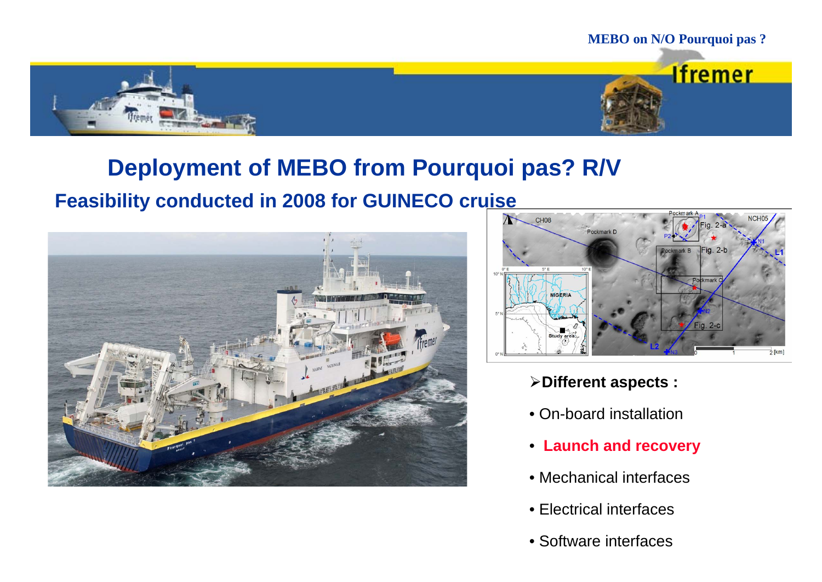

#### **Deployment of MEBO from Pourquoi pas? R/V**

#### **Feasibility conducted in 2008 for GUINECO cruise**





- **Different aspects :**
- On-board installation
- **Launch and recovery**
- Mechanical interfaces
- Electrical interfaces
- Software interfaces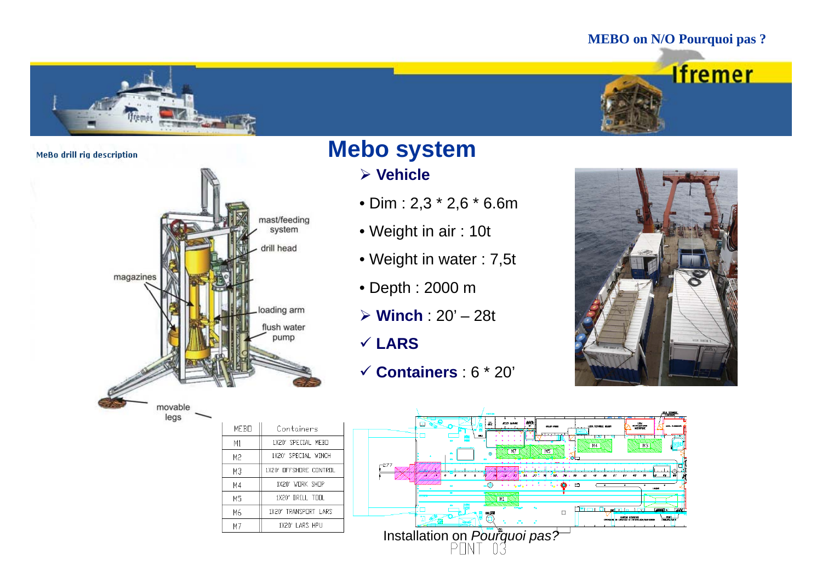#### **MEBO on N/O Pourquoi pas ?**





MeBo drill rig description



MEBO

 $M1$ 

M<sub>2</sub>

 $M3$ 

 $M4$ 

M5

M<sub>6</sub>

 $M<sub>7</sub>$ 

legs

#### **Mebo system**

- **Vehicle**
- Dim : 2,3 \* 2,6 \* 6.6m
- Weight in air : 10t
- Weight in water : 7,5t
- Depth : 2000 <sup>m</sup>
- **Winch** : 20' 28t
- **LARS**
- **Containers** : 6 \* 20'



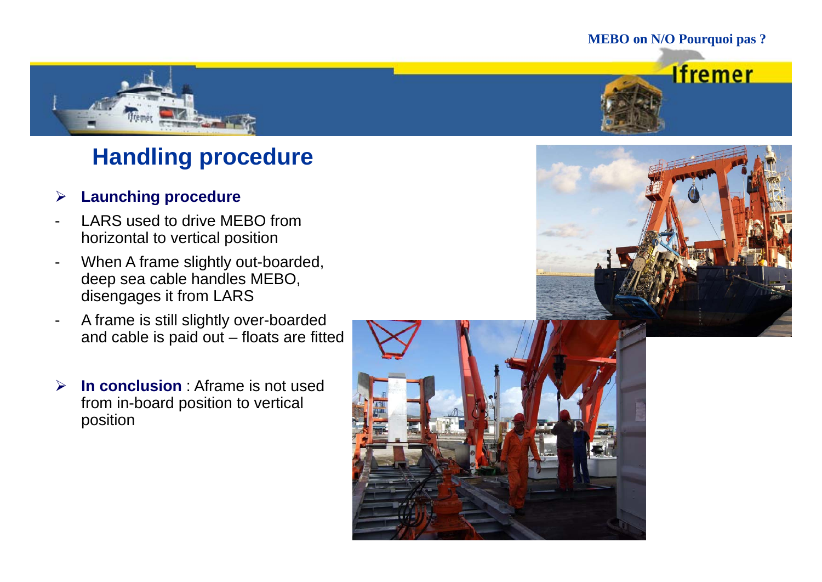#### **MEBO on N/O Pourquoi pas ?**

**Ifremer** 



# **Handling procedure**

#### $\blacktriangleright$ **Launching procedure**

- LARS used to drive MEBO from horizontal to vertical position
- When A frame slightly out-boarded, deep sea cable handles MEBO, disengages it from LARS
- A frame is still slightly over-boarded and cable is paid out – floats are fitted
- $\blacktriangleright$  **In conclusion** : Aframe is not used from in-board position to vertical position



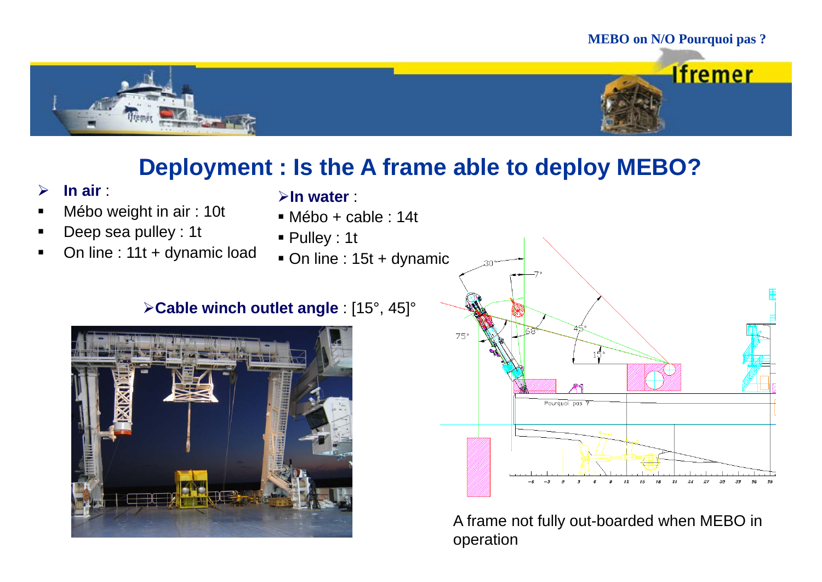# **MEBO on N/O Pourquoi pas ? Ifremer**

#### Deployment : Is the A frame able to deploy MEBO?

- $\blacktriangleright$ **In air** :
- $\blacksquare$ Mébo weight in air : 10t
- $\blacksquare$ Deep sea pulley : 1t
- × On line : 11t + dynamic load
- **In water** :
- Mébo + cable : 14t
- Pulley : 1t
- On line : 15t + dynamic

#### **Cable winch outlet angle** : [15°, 45]°





A frame not fully out-boarded when MEBO in operation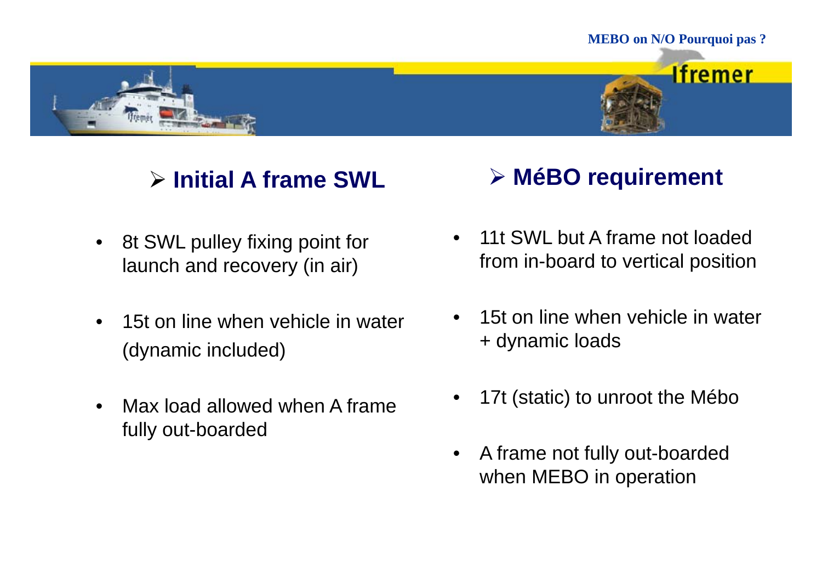

**Ifremer** 



# $\triangleright$  Initial A frame SWL

- 8t SWL pulley fixing point for launch and recovery (in air)
- • 15t on line when vehicle in water (dynamic included) dynamic included) + dynamic loads<br>• Max load allowed when A frame + 17t (static) to un
- Max load allowed when A frame fully out-boarded fully out-boarded<br>•

# **▷ MéBO requirement**

- $\bullet$  11t SWL but A frame not loaded from in-board to vertical position
- •15t on line when vehicle in water
- •17t (static) to unroot the Mébo
- A frame not fully out-boarded when MEBO in operation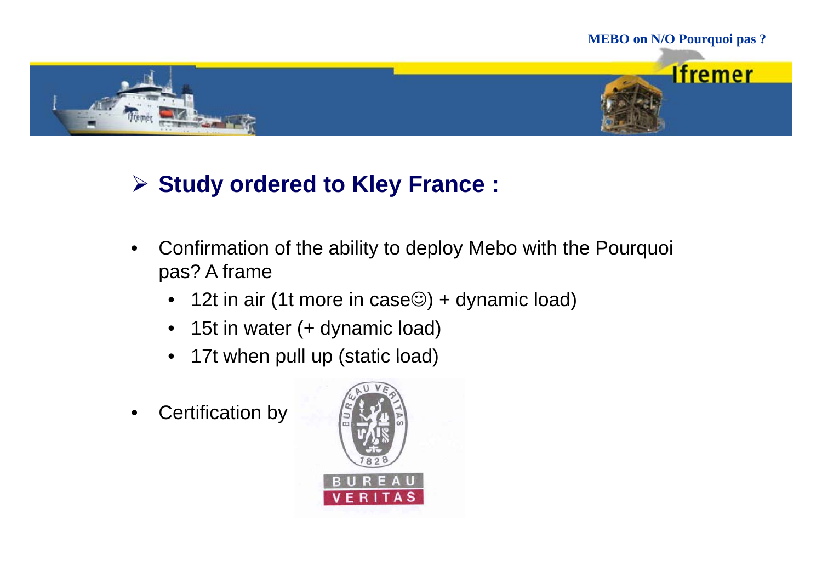

# **Study ordered to Kley France :**

- • Confirmation of the ability to deploy Mebo with the Pourquoi pas? A frame
	- 12t in air (1t more in case©) + dynamic load)
	- $\bullet$ 15t in water (+ dynamic load)
	- $\bullet$ 17t when pull up (static load)
- •Certification by